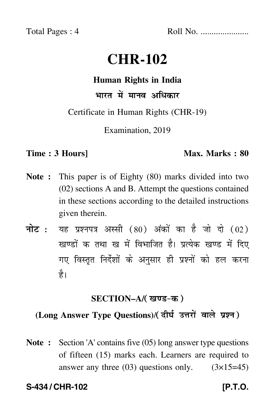Total Pages : 4 Roll No. ......................

# **CHR-102**

#### **Human Rights in India**

भारत में मानव अधिकार

Certificate in Human Rights (CHR-19)

Examination, 2019

#### **Time : 3 Hours]** Max. Marks : 80

- **Note :** This paper is of Eighty (80) marks divided into two (02) sections A and B. Attempt the questions contained in these sections according to the detailed instructions given therein.
- नोट : यह प्रश्नपत्र अस्सी (80) अंकों का है जो दो (02) खण्डों क तथा ख में विभाजित है। प्रत्येक खण्ड में दिए गए विस्तृत निर्देशों के अनुसार ही प्रश्नों को हल करन<mark>ा</mark> है।

## <u>SECTION–A/( खण्ड-क</u> )

## (Long Answer Type Questions)/( दीर्घ उत्तरों वाले प्रश्न )

**Note :** Section 'A' contains five (05) long answer type questions of fifteen (15) marks each. Learners are required to answer any three  $(03)$  questions only.  $(3\times15=45)$ 

#### S-434 / CHR-102 **[P.T.O.**]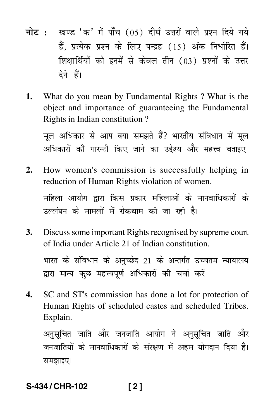- <mark>नोट</mark> : खण्ड 'क' में पाँच (05) दीर्घ उत्तरों वाले प्रश्न दिये गये हैं, प्रत्येक प्रश्न के लिए पन्द्रह (15) अंक निर्धारित हैं। शिक्षार्थियों को इनमें से केवल तीन (03) प्रश्नों के उत्तर देने हैं।
- **1.** What do you mean by Fundamental Rights ? What is the object and importance of guaranteeing the Fundamental Rights in Indian constitution ?

मूल अधिकार से आप क्या समझते हैं? भारतीय संविधान में मूल अधिकारों की गारन्टी किए जाने का उद्देश्य और महत्त्व बताइए।

**2.** How women's commission is successfully helping in reduction of Human Rights violation of women.

महिला आयोग द्वारा किस प्रकार महिलाओं के मानवाधिकारों के उल्लंघन के मामलों में रोकथाम की जा रही है।

- **3.** Discuss some important Rights recognised by supreme court of India under Article 21 of Indian constitution. भारत के संविधान के अनुच्छेद 21 के अन्तर्गत उच्चतम न्यायालय द्वारा मान्य कुछ महत्त्वपूर्ण अधिकारों की चर्चा करें।
- **4.** SC and ST's commission has done a lot for protection of Human Rights of scheduled castes and scheduled Tribes. Explain.

अनुसूचित जाति और जनजाति आयोग ने अनुसूचित जाति और ֦֧֦֧֦֧֚֬֝֝֬֝<u>֘</u> जनजातियों के मानवाधिकारों के संरक्षण में अहम योगदान दिया है। समझाइए।

# **S-434 / CHR-102 [ 2 ]**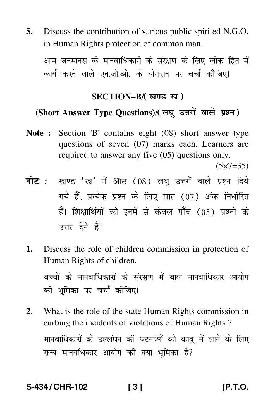**5.** Discuss the contribution of various public spirited N.G.O. in Human Rights protection of common man.

आम जनमानस के मानवाधिकारों के संरक्षण के लिए लोक हित में कार्य करने वाले एन.जी.ओ. के योगदान पर चर्चा कीजिए।

## SECTION–B/( खण्ड-ख )

## (Short Answer Type Questions)/(लघु उत्तरों वाले प्रश्न)

**Note :** Section 'B' contains eight (08) short answer type questions of seven (07) marks each. Learners are required to answer any five (05) questions only.

 $(5 \times 7 = 35)$ 

- <mark>नोट</mark> : खण्ड 'ख' में आठ (08) लघु उत्तरों वाले प्रश्न दिये गये हैं, प्रत्येक प्रश्न के लिए सात (07) अंक निर्धारित हैं। शिक्षार्थियों को इनमें से केवल पाँच (05) प्रश्नों के उत्तर देने हैं।
- **1.** Discuss the role of children commission in protection of Human Rights of children.

बच्चों के मानवाधिकारों के संरक्षण में बाल मानवाधिकार आयोग की भूमिका पर चर्च<mark>ा</mark> कीजिए।

**2.** What is the role of the state Human Rights commission in curbing the incidents of violations of Human Rights ? मानवाधिकारों के उल्लंघन की घटनाओं को काबू में लाने के लिए राज्य मानवधिकार आयोग की क्या भूमिका है?